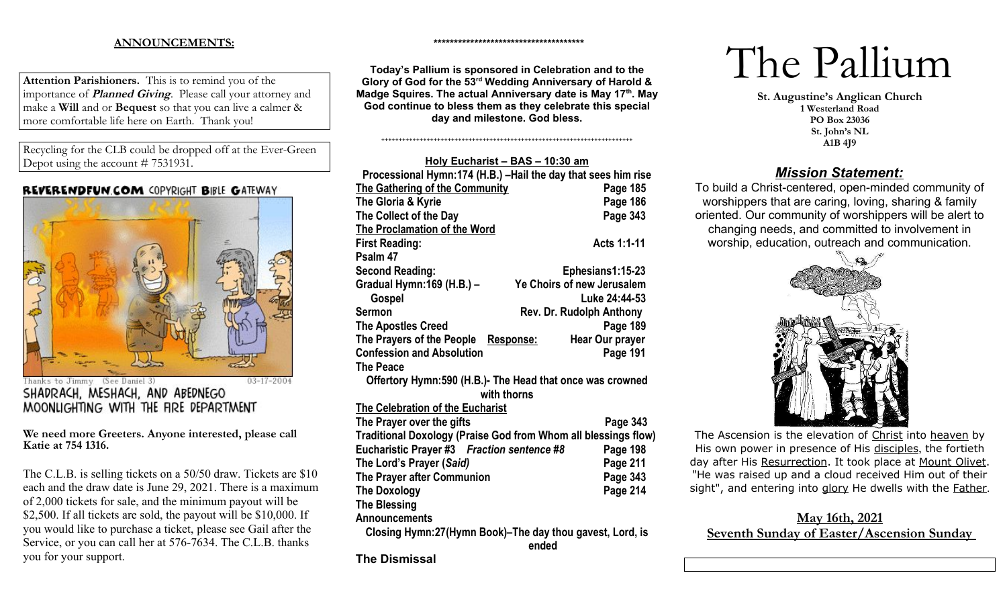### **ANNOUNCEMENTS:**

**Attention Parishioners.** This is to remind you of the importance of **Planned Giving**. Please call your attorney and make a **Will** and or **Bequest** so that you can live a calmer & more comfortable life here on Earth. Thank you!

Recycling for the CLB could be dropped off at the Ever-Green Depot using the account # 7531931.

#### **REVERENDFUN.COM COPYRIGHT BIBLE GATEWAY**



(See Daniel 3)  $03 - 17 - 2004$ Thanks to Jimmy SHADRACH, MESHACH, AND ABEDNEGO MOONLIGHTING WITH THE FIRE DEPARTMENT

**We need more Greeters. Anyone interested, please call Katie at 754 1316.** 

The C.L.B. is selling tickets on a 50/50 draw. Tickets are \$10 each and the draw date is June 29, 2021. There is a maximum of 2,000 tickets for sale, and the minimum payout will be \$2,500. If all tickets are sold, the payout will be \$10,000. If you would like to purchase a ticket, please see Gail after the Service, or you can call her at 576-7634. The C.L.B. thanks you for your support.

**Today's Pallium is sponsored in Celebration and to the Glory of God for the 53rd Wedding Anniversary of Harold & Madge Squires. The actual Anniversary date is May 17th. May God continue to bless them as they celebrate this special day and milestone. God bless.** 

++++++++++++++++++++++++++++++++++++++++++++++++++++++++++++++++++++++++

**\*\*\*\*\*\*\*\*\*\*\*\*\*\*\*\*\*\*\*\*\*\*\*\*\*\*\*\*\*\*\*\*\*\*\*\*\***

| Holy Eucharist - BAS - 10:30 am                                |                                     |  |  |  |
|----------------------------------------------------------------|-------------------------------------|--|--|--|
| Processional Hymn:174 (H.B.) - Hail the day that sees him rise |                                     |  |  |  |
| The Gathering of the Community                                 | Page 185                            |  |  |  |
| The Gloria & Kyrie                                             | Page 186                            |  |  |  |
| The Collect of the Day                                         | Page 343                            |  |  |  |
| The Proclamation of the Word                                   |                                     |  |  |  |
| <b>First Reading:</b>                                          | Acts 1:1-11                         |  |  |  |
| Psalm 47                                                       |                                     |  |  |  |
| <b>Second Reading:</b>                                         | Ephesians1:15-23                    |  |  |  |
| Gradual Hymn: 169 (H.B.) -                                     | Ye Choirs of new Jerusalem          |  |  |  |
| Gospel                                                         | Luke 24:44-53                       |  |  |  |
| Sermon                                                         | <b>Rev. Dr. Rudolph Anthony</b>     |  |  |  |
| <b>The Apostles Creed</b>                                      | Page 189                            |  |  |  |
| The Prayers of the People                                      | <b>Hear Our prayer</b><br>Response: |  |  |  |
| <b>Confession and Absolution</b>                               | Page 191                            |  |  |  |
| <b>The Peace</b>                                               |                                     |  |  |  |
| Offertory Hymn: 590 (H.B.)- The Head that once was crowned     |                                     |  |  |  |
| with thorns                                                    |                                     |  |  |  |
| The Celebration of the Eucharist                               |                                     |  |  |  |
| The Prayer over the gifts                                      | Page 343                            |  |  |  |
| Traditional Doxology (Praise God from Whom all blessings flow) |                                     |  |  |  |
| Eucharistic Prayer #3 Fraction sentence #8                     | Page 198                            |  |  |  |
| The Lord's Prayer (Said)                                       | Page 211                            |  |  |  |
| The Prayer after Communion                                     | Page 343                            |  |  |  |
| <b>The Doxology</b>                                            | <b>Page 214</b>                     |  |  |  |
| <b>The Blessing</b>                                            |                                     |  |  |  |
| <b>Announcements</b>                                           |                                     |  |  |  |
| Closing Hymn:27(Hymn Book)-The day thou gavest, Lord, is       |                                     |  |  |  |
|                                                                | ended                               |  |  |  |

**The Dismissal**

# The Pallium

**St. Augustine's Anglican Church 1 Westerland Road PO Box 23036 St. John's NL A1B 4J9**

## *Mission Statement:*

To build a Christ-centered, open-minded community of worshippers that are caring, loving, sharing & family oriented. Our community of worshippers will be alert to changing needs, and committed to involvement in worship, education, outreach and communication.



The Ascension is the elevation of [Christ](https://www.newadvent.org/cathen/08374c.htm) into [heaven](https://www.newadvent.org/cathen/07170a.htm) by His own power in presence of His [disciples](https://www.newadvent.org/cathen/05029a.htm), the fortieth day after His [Resurrection](https://www.newadvent.org/cathen/12789a.htm). It took place at [Mount Olivet](https://www.newadvent.org/cathen/11244b.htm). "He was raised up and a cloud received Him out of their sight", and entering into [glory](https://www.newadvent.org/cathen/06585a.htm) He dwells with the [Father](https://www.newadvent.org/cathen/06608a.htm).

## **May 16th, 2021 Seventh Sunday of Easter/Ascension Sunday**